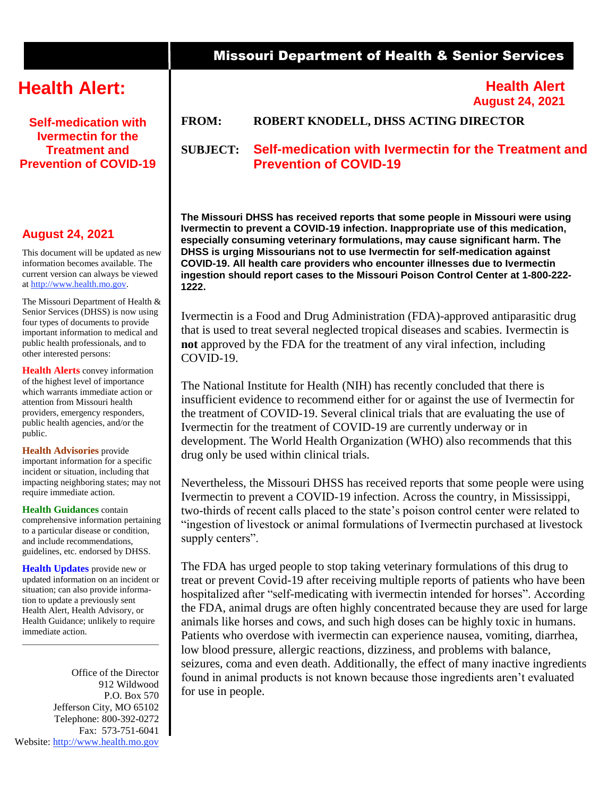# **Health Alert:**

**Self-medication with Ivermectin for the Treatment and Prevention of COVID-19** 

#### **August 24, 2021**

This document will be updated as new information becomes available. The current version can always be viewed at [http://www.health.mo.gov.](http://www.health.mo.gov/)

The Missouri Department of Health & Senior Services (DHSS) is now using four types of documents to provide important information to medical and public health professionals, and to other interested persons:

**Health Alerts** convey information of the highest level of importance which warrants immediate action or attention from Missouri health providers, emergency responders, public health agencies, and/or the public.

**Health Advisories** provide important information for a specific incident or situation, including that impacting neighboring states; may not require immediate action.

**Health Guidances** contain comprehensive information pertaining to a particular disease or condition, and include recommendations, guidelines, etc. endorsed by DHSS.

**Health Updates** provide new or updated information on an incident or situation; can also provide information to update a previously sent Health Alert, Health Advisory, or Health Guidance; unlikely to require immediate action.

 $\_$ 

Office of the Director 912 Wildwood P.O. Box 570 Jefferson City, MO 65102 Telephone: 800-392-0272 Fax: 573-751-6041 Website: [http://www.health.mo.gov](http://www.health.mo.gov/)

# Missouri Department of Health & Senior Services

## **Health Alert August 24, 2021**

#### **FROM: ROBERT KNODELL, DHSS ACTING DIRECTOR**

### **SUBJECT: Self-medication with Ivermectin for the Treatment and Prevention of COVID-19**

**The Missouri DHSS has received reports that some people in Missouri were using Ivermectin to prevent a COVID-19 infection. Inappropriate use of this medication, especially consuming veterinary formulations, may cause significant harm. The DHSS is urging Missourians not to use Ivermectin for self-medication against COVID-19. All health care providers who encounter illnesses due to Ivermectin ingestion should report cases to the Missouri Poison Control Center at 1-800-222- 1222.**

Ivermectin is a Food and Drug Administration (FDA)-approved antiparasitic drug that is used to treat several neglected tropical diseases and scabies. Ivermectin is **not** approved by the FDA for the treatment of any viral infection, including COVID-19.

The National Institute for Health (NIH) has recently concluded that there is insufficient evidence to recommend either for or against the use of Ivermectin for the treatment of COVID-19. Several clinical trials that are evaluating the use of Ivermectin for the treatment of COVID-19 are currently underway or in development. The World Health Organization (WHO) also recommends that this drug only be used within clinical trials.

Nevertheless, the Missouri DHSS has received reports that some people were using Ivermectin to prevent a COVID-19 infection. Across the country, in Mississippi, two-thirds of recent calls placed to the state's poison control center were related to "ingestion of livestock or animal formulations of Ivermectin purchased at livestock supply centers".

The FDA has urged people to stop taking veterinary formulations of this drug to treat or prevent Covid-19 after receiving multiple reports of patients who have been hospitalized after "self-medicating with ivermectin intended for horses". According the FDA, animal drugs are often highly concentrated because they are used for large animals like horses and cows, and such high doses can be highly toxic in humans. Patients who overdose with ivermectin can experience nausea, vomiting, diarrhea, low blood pressure, allergic reactions, dizziness, and problems with balance, seizures, coma and even death. Additionally, the effect of many inactive ingredients found in animal products is not known because those ingredients aren't evaluated for use in people.